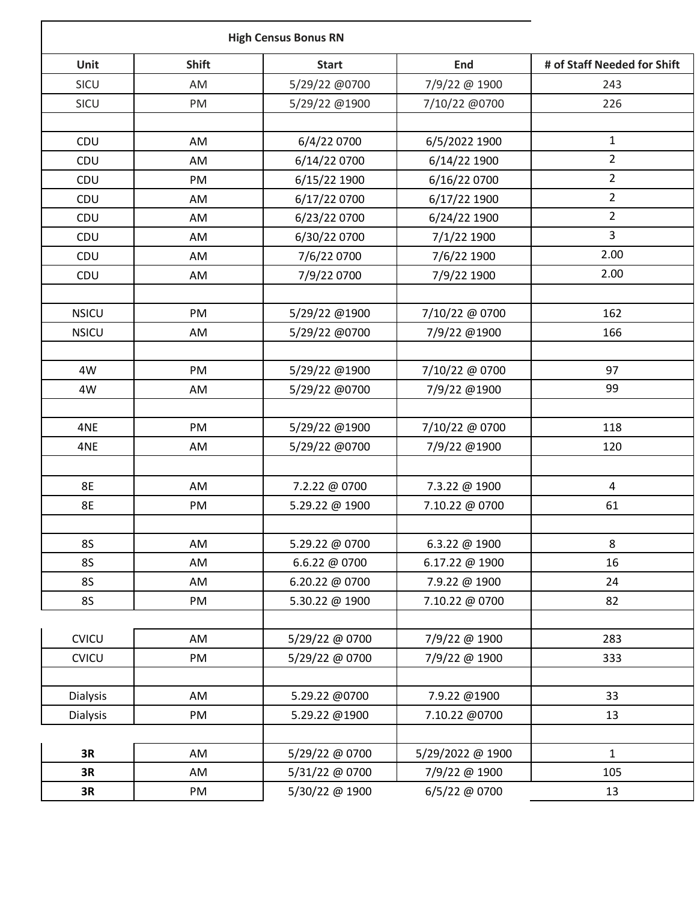|                 | <b>High Census Bonus RN</b> |                |                  |                             |
|-----------------|-----------------------------|----------------|------------------|-----------------------------|
| <b>Unit</b>     | <b>Shift</b>                | <b>Start</b>   | <b>End</b>       | # of Staff Needed for Shift |
| SICU            | AM                          | 5/29/22 @0700  | 7/9/22 @ 1900    | 243                         |
| SICU            | PM                          | 5/29/22 @1900  | 7/10/22 @0700    | 226                         |
| CDU             | AM                          | 6/4/22 0700    | 6/5/2022 1900    | $\mathbf{1}$                |
| CDU             | AM                          | 6/14/22 0700   | 6/14/22 1900     | $\overline{2}$              |
| CDU             | PM                          | 6/15/22 1900   | 6/16/22 0700     | $\overline{2}$              |
| CDU             | AM                          | 6/17/22 0700   | 6/17/22 1900     | $\overline{2}$              |
| CDU             | AM                          | 6/23/22 0700   | 6/24/22 1900     | $\overline{2}$              |
| CDU             | AM                          | 6/30/22 0700   | 7/1/22 1900      | 3                           |
| CDU             | AM                          | 7/6/22 0700    | 7/6/22 1900      | 2.00                        |
| CDU             | AM                          | 7/9/22 0700    | 7/9/22 1900      | 2.00                        |
|                 |                             |                |                  | 162                         |
| <b>NSICU</b>    | PM                          | 5/29/22 @1900  | 7/10/22 @ 0700   |                             |
| <b>NSICU</b>    | AM                          | 5/29/22 @0700  | 7/9/22 @1900     | 166                         |
| 4W              | PM                          | 5/29/22 @1900  | 7/10/22 @ 0700   | 97                          |
| 4W              | AM                          | 5/29/22 @0700  | 7/9/22 @1900     | 99                          |
| 4NE             | PM                          | 5/29/22 @1900  | 7/10/22 @ 0700   | 118                         |
|                 |                             | 5/29/22 @0700  |                  | 120                         |
| 4NE             | AM                          |                | 7/9/22 @1900     |                             |
| <b>8E</b>       | AM                          | 7.2.22 @ 0700  | 7.3.22 @ 1900    | $\overline{\mathbf{4}}$     |
| <b>8E</b>       | PM                          | 5.29.22 @ 1900 | 7.10.22 @ 0700   | 61                          |
|                 |                             |                |                  |                             |
| <b>8S</b>       | AM                          | 5.29.22 @ 0700 | 6.3.22 @ 1900    | 8                           |
| <b>8S</b>       | AM                          | 6.6.22 @ 0700  | 6.17.22 @ 1900   | 16                          |
| <b>8S</b>       | AM                          | 6.20.22 @ 0700 | 7.9.22 @ 1900    | 24                          |
| <b>8S</b>       | PM                          | 5.30.22 @ 1900 | 7.10.22 @ 0700   | 82                          |
| CVICU           | AM                          | 5/29/22 @ 0700 | 7/9/22 @ 1900    | 283                         |
| <b>CVICU</b>    | PM                          | 5/29/22 @ 0700 | 7/9/22 @ 1900    | 333                         |
| <b>Dialysis</b> | AM                          | 5.29.22 @0700  | 7.9.22 @1900     | 33                          |
| Dialysis        | PM                          | 5.29.22 @1900  | 7.10.22 @0700    | 13                          |
|                 |                             |                |                  |                             |
| 3R              | AM                          | 5/29/22 @ 0700 | 5/29/2022 @ 1900 | $\mathbf{1}$                |
| 3R              | AM                          | 5/31/22 @ 0700 | 7/9/22 @ 1900    | 105                         |
| 3R              | PM                          | 5/30/22 @ 1900 | 6/5/22 @ 0700    | 13                          |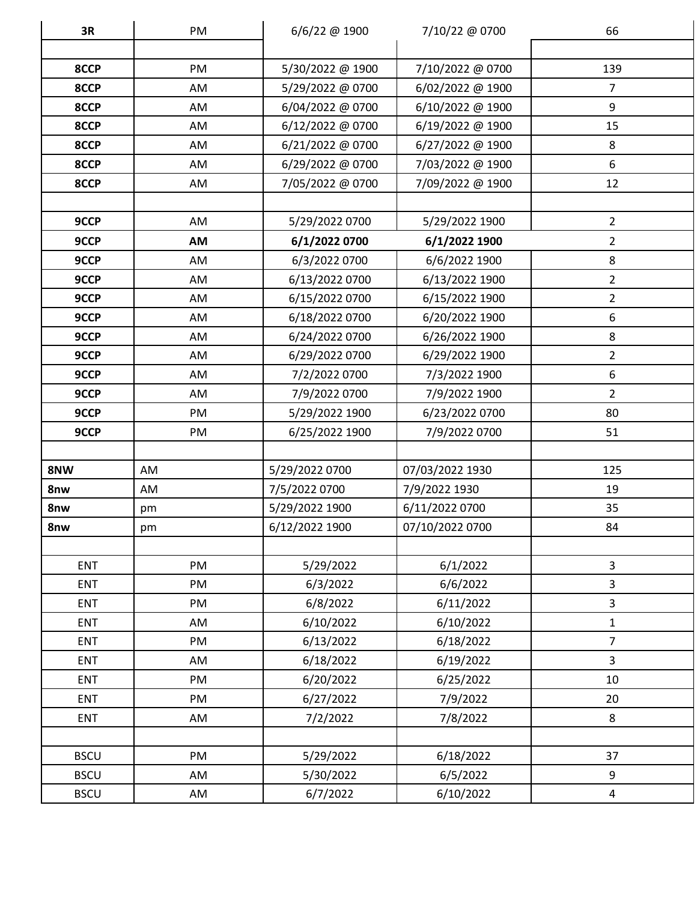| 3R          | PM | 6/6/22 @ 1900    | 7/10/22 @ 0700   | 66             |
|-------------|----|------------------|------------------|----------------|
|             |    |                  |                  |                |
| 8CCP        | PM | 5/30/2022 @ 1900 | 7/10/2022 @ 0700 | 139            |
| 8CCP        | AM | 5/29/2022 @ 0700 | 6/02/2022 @ 1900 | $\overline{7}$ |
| 8CCP        | AM | 6/04/2022 @ 0700 | 6/10/2022 @ 1900 | 9              |
| 8CCP        | AM | 6/12/2022 @ 0700 | 6/19/2022 @ 1900 | 15             |
| 8CCP        | AM | 6/21/2022 @ 0700 | 6/27/2022 @ 1900 | 8              |
| 8CCP        | AM | 6/29/2022 @ 0700 | 7/03/2022 @ 1900 | 6              |
| 8CCP        | AM | 7/05/2022 @ 0700 | 7/09/2022 @ 1900 | 12             |
|             |    |                  |                  |                |
| 9CCP        | AM | 5/29/2022 0700   | 5/29/2022 1900   | $\overline{2}$ |
| 9CCP        | AM | 6/1/2022 0700    | 6/1/2022 1900    | $\overline{2}$ |
| 9CCP        | AM | 6/3/2022 0700    | 6/6/2022 1900    | 8              |
| 9CCP        | AM | 6/13/2022 0700   | 6/13/2022 1900   | $\overline{2}$ |
| 9CCP        | AM | 6/15/2022 0700   | 6/15/2022 1900   | $\overline{2}$ |
| 9CCP        | AM | 6/18/2022 0700   | 6/20/2022 1900   | 6              |
| 9CCP        | AM | 6/24/2022 0700   | 6/26/2022 1900   | 8              |
| 9CCP        | AM | 6/29/2022 0700   | 6/29/2022 1900   | $\overline{2}$ |
| 9CCP        | AM | 7/2/2022 0700    | 7/3/2022 1900    | 6              |
| 9CCP        | AM | 7/9/2022 0700    | 7/9/2022 1900    | $\overline{2}$ |
| 9CCP        | PM | 5/29/2022 1900   | 6/23/2022 0700   | 80             |
| 9CCP        | PM | 6/25/2022 1900   | 7/9/2022 0700    | 51             |
|             |    |                  |                  |                |
| 8NW         | AM | 5/29/2022 0700   | 07/03/2022 1930  | 125            |
| 8nw         | AM | 7/5/2022 0700    | 7/9/2022 1930    | 19             |
| 8nw         | pm | 5/29/2022 1900   | 6/11/2022 0700   | 35             |
| 8nw         | pm | 6/12/2022 1900   | 07/10/2022 0700  | 84             |
|             |    |                  |                  |                |
| <b>ENT</b>  | PM | 5/29/2022        | 6/1/2022         | 3              |
| <b>ENT</b>  | PM | 6/3/2022         | 6/6/2022         | 3              |
| <b>ENT</b>  | PM | 6/8/2022         | 6/11/2022        | 3              |
| <b>ENT</b>  | AM | 6/10/2022        | 6/10/2022        | $\mathbf{1}$   |
| <b>ENT</b>  | PM | 6/13/2022        | 6/18/2022        | $\overline{7}$ |
| <b>ENT</b>  | AM | 6/18/2022        | 6/19/2022        | 3              |
| <b>ENT</b>  | PM | 6/20/2022        | 6/25/2022        | 10             |
| <b>ENT</b>  | PM | 6/27/2022        | 7/9/2022         | 20             |
| <b>ENT</b>  | AM | 7/2/2022         | 7/8/2022         | 8              |
|             |    |                  |                  |                |
| <b>BSCU</b> | PM | 5/29/2022        | 6/18/2022        | 37             |
| <b>BSCU</b> | AM | 5/30/2022        | 6/5/2022         | 9              |
| <b>BSCU</b> | AM | 6/7/2022         | 6/10/2022        | $\overline{4}$ |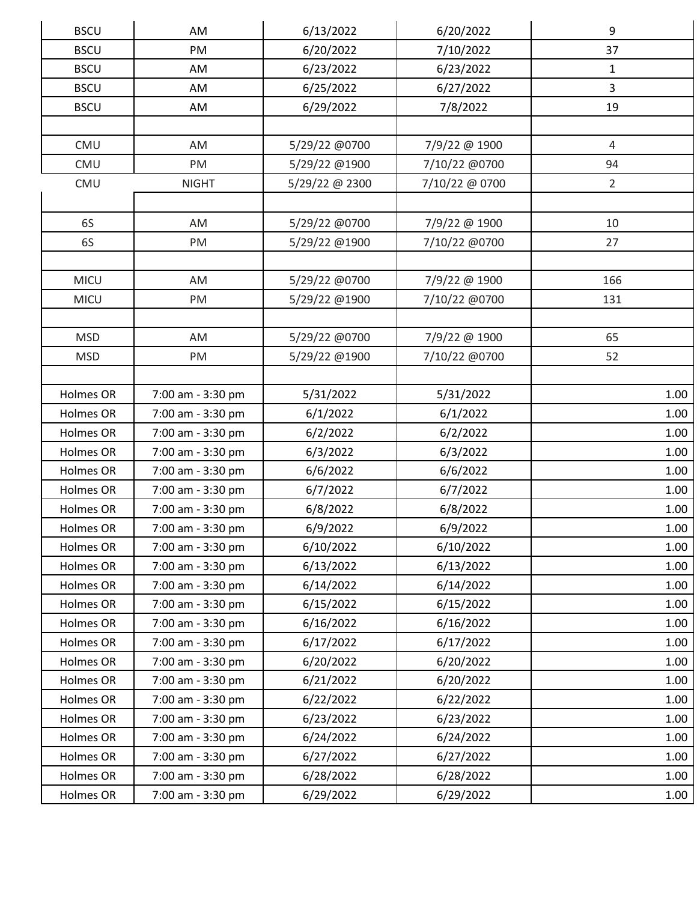| <b>BSCU</b> | AM                | 6/13/2022      | 6/20/2022      | 9              |  |
|-------------|-------------------|----------------|----------------|----------------|--|
| <b>BSCU</b> | PM                | 6/20/2022      | 7/10/2022      | 37             |  |
| <b>BSCU</b> | AM                | 6/23/2022      | 6/23/2022      | $\mathbf{1}$   |  |
| <b>BSCU</b> | AM                | 6/25/2022      | 6/27/2022      | $\overline{3}$ |  |
| <b>BSCU</b> | AM                | 6/29/2022      | 7/8/2022       | 19             |  |
|             |                   |                |                |                |  |
| CMU         | AM                | 5/29/22 @0700  | 7/9/22 @ 1900  | $\overline{4}$ |  |
| CMU         | PM                | 5/29/22 @1900  | 7/10/22 @0700  | 94             |  |
| CMU         | <b>NIGHT</b>      | 5/29/22 @ 2300 | 7/10/22 @ 0700 | $\overline{2}$ |  |
|             |                   |                |                |                |  |
| 6S          | AM                | 5/29/22 @0700  | 7/9/22 @ 1900  | 10             |  |
| 6S          | PM                | 5/29/22 @1900  | 7/10/22 @0700  | 27             |  |
|             |                   |                |                |                |  |
| <b>MICU</b> | AM                | 5/29/22 @0700  | 7/9/22 @ 1900  | 166            |  |
| MICU        | PM                | 5/29/22 @1900  | 7/10/22 @0700  | 131            |  |
|             |                   |                |                |                |  |
| <b>MSD</b>  | AM                | 5/29/22 @0700  | 7/9/22 @ 1900  | 65             |  |
| <b>MSD</b>  | PM                | 5/29/22 @1900  | 7/10/22 @0700  | 52             |  |
|             |                   |                |                |                |  |
| Holmes OR   | 7:00 am - 3:30 pm | 5/31/2022      | 5/31/2022      | 1.00           |  |
| Holmes OR   | 7:00 am - 3:30 pm | 6/1/2022       | 6/1/2022       | 1.00           |  |
| Holmes OR   | 7:00 am - 3:30 pm | 6/2/2022       | 6/2/2022       | 1.00           |  |
| Holmes OR   | 7:00 am - 3:30 pm | 6/3/2022       | 6/3/2022       | 1.00           |  |
| Holmes OR   | 7:00 am - 3:30 pm | 6/6/2022       | 6/6/2022       | 1.00           |  |
| Holmes OR   | 7:00 am - 3:30 pm | 6/7/2022       | 6/7/2022       | 1.00           |  |
| Holmes OR   | 7:00 am - 3:30 pm | 6/8/2022       | 6/8/2022       | 1.00           |  |
| Holmes OR   | 7:00 am - 3:30 pm | 6/9/2022       | 6/9/2022       | 1.00           |  |
| Holmes OR   | 7:00 am - 3:30 pm | 6/10/2022      | 6/10/2022      | 1.00           |  |
| Holmes OR   | 7:00 am - 3:30 pm | 6/13/2022      | 6/13/2022      | 1.00           |  |
| Holmes OR   | 7:00 am - 3:30 pm | 6/14/2022      | 6/14/2022      | 1.00           |  |
| Holmes OR   | 7:00 am - 3:30 pm | 6/15/2022      | 6/15/2022      | 1.00           |  |
| Holmes OR   | 7:00 am - 3:30 pm | 6/16/2022      | 6/16/2022      | 1.00           |  |
| Holmes OR   | 7:00 am - 3:30 pm | 6/17/2022      | 6/17/2022      | 1.00           |  |
| Holmes OR   | 7:00 am - 3:30 pm | 6/20/2022      | 6/20/2022      | 1.00           |  |
| Holmes OR   | 7:00 am - 3:30 pm | 6/21/2022      | 6/20/2022      | 1.00           |  |
| Holmes OR   | 7:00 am - 3:30 pm | 6/22/2022      | 6/22/2022      | 1.00           |  |
| Holmes OR   | 7:00 am - 3:30 pm | 6/23/2022      | 6/23/2022      | 1.00           |  |
| Holmes OR   | 7:00 am - 3:30 pm | 6/24/2022      | 6/24/2022      | 1.00           |  |
| Holmes OR   | 7:00 am - 3:30 pm | 6/27/2022      | 6/27/2022      | 1.00           |  |
| Holmes OR   | 7:00 am - 3:30 pm | 6/28/2022      | 6/28/2022      | 1.00           |  |
| Holmes OR   | 7:00 am - 3:30 pm | 6/29/2022      | 6/29/2022      | 1.00           |  |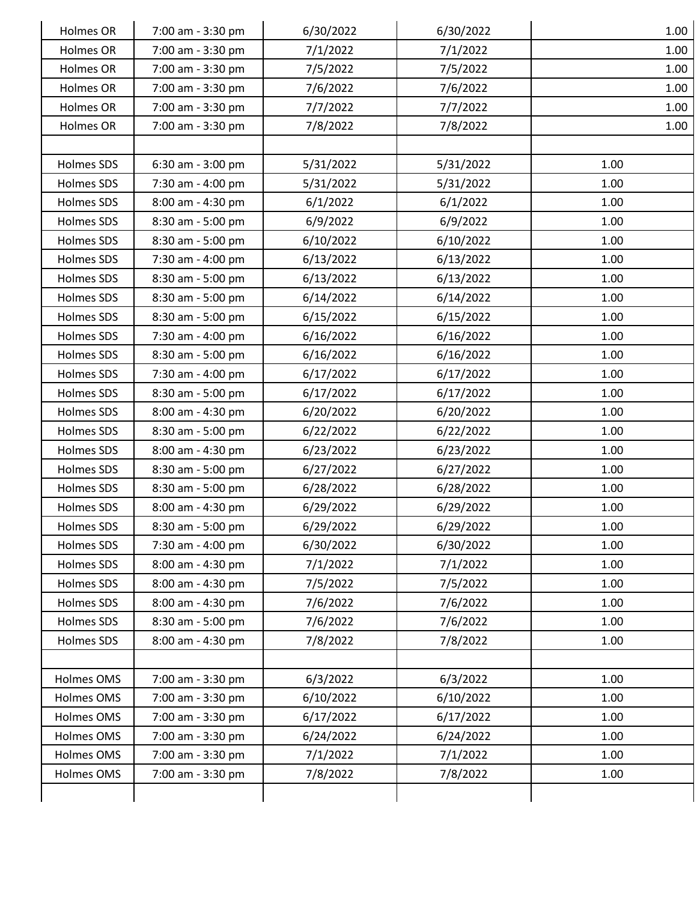| Holmes OR  | 7:00 am - 3:30 pm | 6/30/2022 | 6/30/2022 | 1.00 |  |
|------------|-------------------|-----------|-----------|------|--|
| Holmes OR  | 7:00 am - 3:30 pm | 7/1/2022  | 7/1/2022  | 1.00 |  |
| Holmes OR  | 7:00 am - 3:30 pm | 7/5/2022  | 7/5/2022  | 1.00 |  |
| Holmes OR  | 7:00 am - 3:30 pm | 7/6/2022  | 7/6/2022  | 1.00 |  |
| Holmes OR  | 7:00 am - 3:30 pm | 7/7/2022  | 7/7/2022  | 1.00 |  |
| Holmes OR  | 7:00 am - 3:30 pm | 7/8/2022  | 7/8/2022  | 1.00 |  |
|            |                   |           |           |      |  |
| Holmes SDS | 6:30 am - 3:00 pm | 5/31/2022 | 5/31/2022 | 1.00 |  |
| Holmes SDS | 7:30 am - 4:00 pm | 5/31/2022 | 5/31/2022 | 1.00 |  |
| Holmes SDS | 8:00 am - 4:30 pm | 6/1/2022  | 6/1/2022  | 1.00 |  |
| Holmes SDS | 8:30 am - 5:00 pm | 6/9/2022  | 6/9/2022  | 1.00 |  |
| Holmes SDS | 8:30 am - 5:00 pm | 6/10/2022 | 6/10/2022 | 1.00 |  |
| Holmes SDS | 7:30 am - 4:00 pm | 6/13/2022 | 6/13/2022 | 1.00 |  |
| Holmes SDS | 8:30 am - 5:00 pm | 6/13/2022 | 6/13/2022 | 1.00 |  |
| Holmes SDS | 8:30 am - 5:00 pm | 6/14/2022 | 6/14/2022 | 1.00 |  |
| Holmes SDS | 8:30 am - 5:00 pm | 6/15/2022 | 6/15/2022 | 1.00 |  |
| Holmes SDS | 7:30 am - 4:00 pm | 6/16/2022 | 6/16/2022 | 1.00 |  |
| Holmes SDS | 8:30 am - 5:00 pm | 6/16/2022 | 6/16/2022 | 1.00 |  |
| Holmes SDS | 7:30 am - 4:00 pm | 6/17/2022 | 6/17/2022 | 1.00 |  |
| Holmes SDS | 8:30 am - 5:00 pm | 6/17/2022 | 6/17/2022 | 1.00 |  |
| Holmes SDS | 8:00 am - 4:30 pm | 6/20/2022 | 6/20/2022 | 1.00 |  |
| Holmes SDS | 8:30 am - 5:00 pm | 6/22/2022 | 6/22/2022 | 1.00 |  |
| Holmes SDS | 8:00 am - 4:30 pm | 6/23/2022 | 6/23/2022 | 1.00 |  |
| Holmes SDS | 8:30 am - 5:00 pm | 6/27/2022 | 6/27/2022 | 1.00 |  |
| Holmes SDS | 8:30 am - 5:00 pm | 6/28/2022 | 6/28/2022 | 1.00 |  |
| Holmes SDS | 8:00 am - 4:30 pm | 6/29/2022 | 6/29/2022 | 1.00 |  |
| Holmes SDS | 8:30 am - 5:00 pm | 6/29/2022 | 6/29/2022 | 1.00 |  |
| Holmes SDS | 7:30 am - 4:00 pm | 6/30/2022 | 6/30/2022 | 1.00 |  |
| Holmes SDS | 8:00 am - 4:30 pm | 7/1/2022  | 7/1/2022  | 1.00 |  |
| Holmes SDS | 8:00 am - 4:30 pm | 7/5/2022  | 7/5/2022  | 1.00 |  |
| Holmes SDS | 8:00 am - 4:30 pm | 7/6/2022  | 7/6/2022  | 1.00 |  |
| Holmes SDS | 8:30 am - 5:00 pm | 7/6/2022  | 7/6/2022  | 1.00 |  |
| Holmes SDS | 8:00 am - 4:30 pm | 7/8/2022  | 7/8/2022  | 1.00 |  |
|            |                   |           |           |      |  |
| Holmes OMS | 7:00 am - 3:30 pm | 6/3/2022  | 6/3/2022  | 1.00 |  |
| Holmes OMS | 7:00 am - 3:30 pm | 6/10/2022 | 6/10/2022 | 1.00 |  |
| Holmes OMS | 7:00 am - 3:30 pm | 6/17/2022 | 6/17/2022 | 1.00 |  |
| Holmes OMS | 7:00 am - 3:30 pm | 6/24/2022 | 6/24/2022 | 1.00 |  |
| Holmes OMS | 7:00 am - 3:30 pm | 7/1/2022  | 7/1/2022  | 1.00 |  |
| Holmes OMS | 7:00 am - 3:30 pm | 7/8/2022  | 7/8/2022  | 1.00 |  |
|            |                   |           |           |      |  |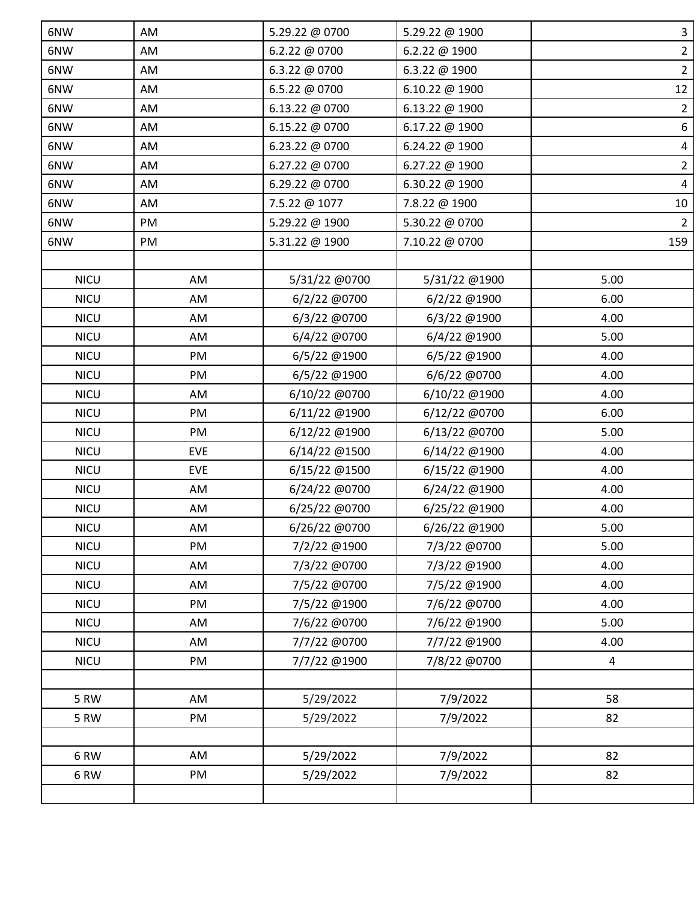| 6NW         | AM         | 5.29.22 @ 0700 | 5.29.22 @ 1900 | $\mathbf{3}$   |
|-------------|------------|----------------|----------------|----------------|
| 6NW         | AM         | 6.2.22 @ 0700  | 6.2.22 @ 1900  | $\overline{2}$ |
| 6NW         | AM         | 6.3.22 @ 0700  | 6.3.22 @ 1900  | $\overline{2}$ |
| 6NW         | AM         | 6.5.22 @ 0700  | 6.10.22 @ 1900 | 12             |
| 6NW         | AM         | 6.13.22 @ 0700 | 6.13.22 @ 1900 | $\overline{2}$ |
| 6NW         | AM         | 6.15.22 @ 0700 | 6.17.22 @ 1900 | 6              |
| 6NW         | AM         | 6.23.22 @ 0700 | 6.24.22 @ 1900 | $\overline{4}$ |
| 6NW         | AM         | 6.27.22 @ 0700 | 6.27.22 @ 1900 | $\overline{2}$ |
| 6NW         | AM         | 6.29.22 @ 0700 | 6.30.22 @ 1900 | $\overline{4}$ |
| 6NW         | AM         | 7.5.22 @ 1077  | 7.8.22 @ 1900  | 10             |
| 6NW         | PM         | 5.29.22 @ 1900 | 5.30.22 @ 0700 | $\overline{2}$ |
| 6NW         | PM         | 5.31.22 @ 1900 | 7.10.22 @ 0700 | 159            |
|             |            |                |                |                |
| <b>NICU</b> | AM         | 5/31/22 @0700  | 5/31/22 @1900  | 5.00           |
| <b>NICU</b> | AM         | 6/2/22 @0700   | 6/2/22 @1900   | 6.00           |
| <b>NICU</b> | AM         | 6/3/22 @0700   | 6/3/22 @1900   | 4.00           |
| <b>NICU</b> | AM         | 6/4/22 @0700   | 6/4/22 @1900   | 5.00           |
| <b>NICU</b> | PM         | 6/5/22 @1900   | 6/5/22 @1900   | 4.00           |
| <b>NICU</b> | PM         | 6/5/22 @1900   | 6/6/22 @0700   | 4.00           |
| <b>NICU</b> | AM         | 6/10/22 @0700  | 6/10/22 @1900  | 4.00           |
| <b>NICU</b> | PM         | 6/11/22 @1900  | 6/12/22 @0700  | 6.00           |
| <b>NICU</b> | PM         | 6/12/22 @1900  | 6/13/22 @0700  | 5.00           |
| <b>NICU</b> | <b>EVE</b> | 6/14/22 @1500  | 6/14/22 @1900  | 4.00           |
| <b>NICU</b> | <b>EVE</b> | 6/15/22 @1500  | 6/15/22 @1900  | 4.00           |
| <b>NICU</b> | AM         | 6/24/22 @0700  | 6/24/22 @1900  | 4.00           |
| <b>NICU</b> | AM         | 6/25/22 @0700  | 6/25/22 @1900  | 4.00           |
| <b>NICU</b> | AM         | 6/26/22 @0700  | 6/26/22 @1900  | 5.00           |
| <b>NICU</b> | PM         | 7/2/22 @1900   | 7/3/22 @0700   | 5.00           |
| <b>NICU</b> | AM         | 7/3/22 @0700   | 7/3/22 @1900   | 4.00           |
| <b>NICU</b> | AM         | 7/5/22 @0700   | 7/5/22 @1900   | 4.00           |
| <b>NICU</b> | PM         | 7/5/22 @1900   | 7/6/22 @0700   | 4.00           |
| <b>NICU</b> | AM         | 7/6/22 @0700   | 7/6/22 @1900   | 5.00           |
| <b>NICU</b> | AM         | 7/7/22 @0700   | 7/7/22 @1900   | 4.00           |
| <b>NICU</b> | PM         | 7/7/22 @1900   | 7/8/22 @0700   | $\overline{4}$ |
|             |            |                |                |                |
| 5 RW        | AM         | 5/29/2022      | 7/9/2022       | 58             |
| 5 RW        | PM         | 5/29/2022      | 7/9/2022       | 82             |
| 6RW         | AM         | 5/29/2022      | 7/9/2022       | 82             |
| 6RW         | PM         | 5/29/2022      | 7/9/2022       | 82             |
|             |            |                |                |                |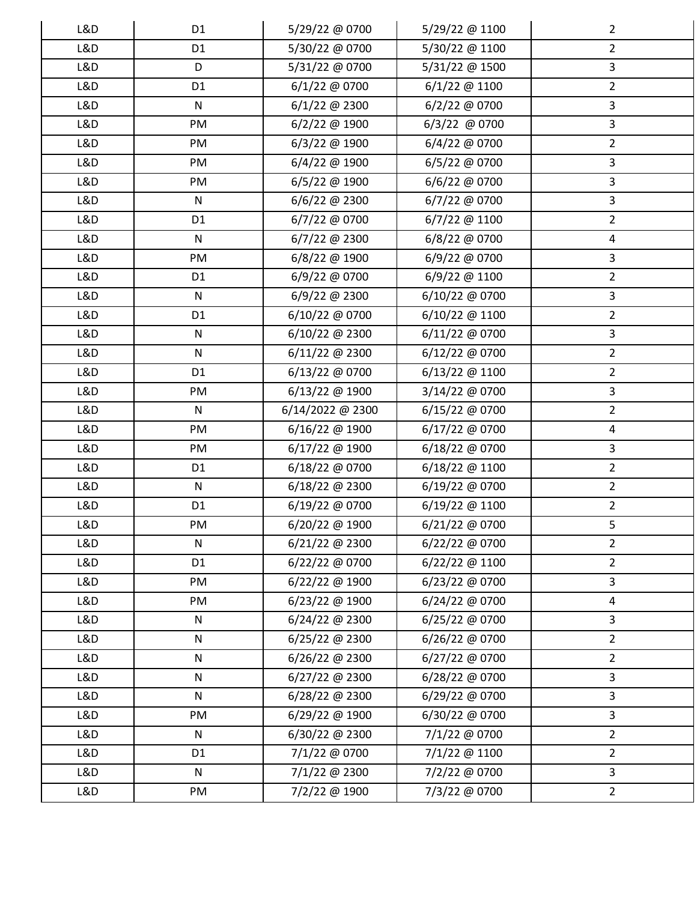| L&D | D <sub>1</sub> | 5/29/22 @ 0700   | 5/29/22 @ 1100 | $\overline{2}$          |
|-----|----------------|------------------|----------------|-------------------------|
| L&D | D <sub>1</sub> | 5/30/22 @ 0700   | 5/30/22 @ 1100 | $\overline{2}$          |
| L&D | D              | 5/31/22 @ 0700   | 5/31/22 @ 1500 | $\overline{3}$          |
| L&D | D <sub>1</sub> | 6/1/22 @ 0700    | 6/1/22 @ 1100  | $\overline{2}$          |
| L&D | ${\sf N}$      | 6/1/22 @ 2300    | 6/2/22 @ 0700  | $\mathbf{3}$            |
| L&D | PM             | 6/2/22 @ 1900    | 6/3/22 @ 0700  | $\overline{3}$          |
| L&D | PM             | 6/3/22 @ 1900    | 6/4/22 @ 0700  | $\overline{2}$          |
| L&D | PM             | 6/4/22 @ 1900    | 6/5/22 @ 0700  | $\overline{3}$          |
| L&D | PM             | 6/5/22 @ 1900    | 6/6/22 @ 0700  | $\overline{3}$          |
| L&D | $\mathsf{N}$   | $6/6/22$ @ 2300  | 6/7/22 @ 0700  | $\mathbf{3}$            |
| L&D | D <sub>1</sub> | 6/7/22 @ 0700    | 6/7/22 @ 1100  | $\overline{2}$          |
| L&D | ${\sf N}$      | 6/7/22 @ 2300    | 6/8/22 @ 0700  | $\overline{a}$          |
| L&D | PM             | 6/8/22 @ 1900    | 6/9/22 @ 0700  | $\overline{3}$          |
| L&D | D <sub>1</sub> | 6/9/22 @ 0700    | 6/9/22 @ 1100  | $\overline{2}$          |
| L&D | $\mathsf{N}$   | 6/9/22 @ 2300    | 6/10/22 @ 0700 | $\overline{3}$          |
| L&D | D <sub>1</sub> | 6/10/22 @ 0700   | 6/10/22 @ 1100 | $\overline{2}$          |
| L&D | ${\sf N}$      | 6/10/22 @ 2300   | 6/11/22 @ 0700 | $\overline{3}$          |
| L&D | ${\sf N}$      | 6/11/22 @ 2300   | 6/12/22 @ 0700 | $\overline{2}$          |
| L&D | D <sub>1</sub> | 6/13/22 @ 0700   | 6/13/22 @ 1100 | $\overline{2}$          |
| L&D | PM             | 6/13/22 @ 1900   | 3/14/22 @ 0700 | $\mathbf{3}$            |
| L&D | ${\sf N}$      | 6/14/2022 @ 2300 | 6/15/22 @ 0700 | $\overline{2}$          |
| L&D | PM             | 6/16/22 @ 1900   | 6/17/22 @ 0700 | $\overline{\mathbf{4}}$ |
| L&D | PM             | 6/17/22 @ 1900   | 6/18/22 @ 0700 | $\overline{3}$          |
| L&D | D <sub>1</sub> | 6/18/22 @ 0700   | 6/18/22 @ 1100 | $\overline{2}$          |
| L&D | ${\sf N}$      | 6/18/22 @ 2300   | 6/19/22 @ 0700 | $\overline{2}$          |
| L&D | D <sub>1</sub> | 6/19/22 @ 0700   | 6/19/22 @ 1100 | $\overline{2}$          |
| L&D | PM             | 6/20/22 @ 1900   | 6/21/22 @ 0700 | 5                       |
| L&D | $\mathsf{N}$   | 6/21/22 @ 2300   | 6/22/22 @ 0700 | $\overline{2}$          |
| L&D | D <sub>1</sub> | 6/22/22 @ 0700   | 6/22/22 @ 1100 | $\overline{2}$          |
| L&D | PM             | 6/22/22 @ 1900   | 6/23/22 @ 0700 | $\overline{3}$          |
| L&D | PM             | 6/23/22 @ 1900   | 6/24/22 @ 0700 | $\overline{4}$          |
| L&D | ${\sf N}$      | 6/24/22 @ 2300   | 6/25/22 @ 0700 | $\overline{3}$          |
| L&D | ${\sf N}$      | 6/25/22 @ 2300   | 6/26/22 @ 0700 | $\overline{2}$          |
| L&D | $\mathsf{N}$   | 6/26/22 @ 2300   | 6/27/22 @ 0700 | $\overline{2}$          |
| L&D | ${\sf N}$      | $6/27/22$ @ 2300 | 6/28/22 @ 0700 | $\overline{3}$          |
| L&D | $\mathsf{N}$   | 6/28/22 @ 2300   | 6/29/22 @ 0700 | $\overline{3}$          |
| L&D | PM             | 6/29/22 @ 1900   | 6/30/22 @ 0700 | $\overline{3}$          |
| L&D | $\mathsf{N}$   | 6/30/22 @ 2300   | 7/1/22 @ 0700  | $\overline{2}$          |
| L&D | D <sub>1</sub> | 7/1/22 @ 0700    | 7/1/22 @ 1100  | $\overline{2}$          |
| L&D | ${\sf N}$      | 7/1/22 @ 2300    | 7/2/22 @ 0700  | $\overline{3}$          |
| L&D | PM             | 7/2/22 @ 1900    | 7/3/22 @ 0700  | $2^{\circ}$             |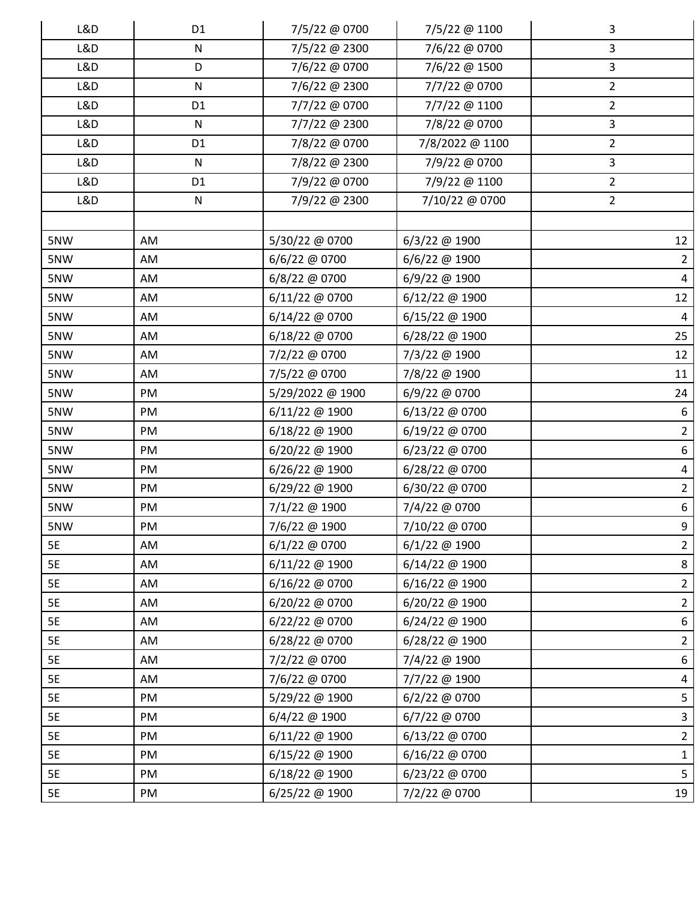| L&D | D <sub>1</sub> | 7/5/22 @ 0700    | 7/5/22 @ 1100   | 3               |
|-----|----------------|------------------|-----------------|-----------------|
| L&D | ${\sf N}$      | 7/5/22 @ 2300    | 7/6/22 @ 0700   | 3               |
| L&D | D              | 7/6/22 @ 0700    | 7/6/22 @ 1500   | $\overline{3}$  |
| L&D | ${\sf N}$      | 7/6/22 @ 2300    | 7/7/22 @ 0700   | $\overline{2}$  |
| L&D | D <sub>1</sub> | 7/7/22 @ 0700    | 7/7/22 @ 1100   | $\overline{2}$  |
| L&D | ${\sf N}$      | 7/7/22 @ 2300    | 7/8/22 @ 0700   | $\overline{3}$  |
| L&D | D <sub>1</sub> | 7/8/22 @ 0700    | 7/8/2022 @ 1100 | $\overline{2}$  |
| L&D | ${\sf N}$      | 7/8/22 @ 2300    | 7/9/22 @ 0700   | 3               |
| L&D | D <sub>1</sub> | 7/9/22 @ 0700    | 7/9/22 @ 1100   | $\overline{2}$  |
| L&D | ${\sf N}$      | 7/9/22 @ 2300    | 7/10/22 @ 0700  | $\overline{2}$  |
|     |                |                  |                 |                 |
| 5NW | AM             | 5/30/22 @ 0700   | $6/3/22$ @ 1900 | 12              |
| 5NW | AM             | 6/6/22 @ 0700    | 6/6/22 @ 1900   | $\overline{2}$  |
| 5NW | AM             | 6/8/22 @ 0700    | 6/9/22 @ 1900   | $\overline{4}$  |
| 5NW | AM             | 6/11/22 @ 0700   | 6/12/22 @ 1900  | 12              |
| 5NW | AM             | 6/14/22 @ 0700   | 6/15/22 @ 1900  | $\overline{4}$  |
| 5NW | AM             | 6/18/22 @ 0700   | 6/28/22 @ 1900  | 25              |
| 5NW | AM             | 7/2/22 @ 0700    | 7/3/22 @ 1900   | 12              |
| 5NW | AM             | 7/5/22 @ 0700    | 7/8/22 @ 1900   | 11              |
| 5NW | PM             | 5/29/2022 @ 1900 | 6/9/22 @ 0700   | 24              |
| 5NW | PM             | 6/11/22 @ 1900   | 6/13/22 @ 0700  | 6               |
| 5NW | PM             | 6/18/22 @ 1900   | 6/19/22 @ 0700  | $\overline{2}$  |
| 5NW | PM             | 6/20/22 @ 1900   | 6/23/22 @ 0700  | $6\phantom{.}6$ |
| 5NW | PM             | 6/26/22 @ 1900   | 6/28/22 @ 0700  | $\overline{a}$  |
| 5NW | PM             | 6/29/22 @ 1900   | 6/30/22 @ 0700  | $\overline{2}$  |
| 5NW | PM             | 7/1/22 @ 1900    | 7/4/22 @ 0700   | 6               |
| 5NW | PM             | 7/6/22 @ 1900    | 7/10/22 @ 0700  | 9               |
| 5E  | AM             | 6/1/22 @ 0700    | $6/1/22$ @ 1900 | $\overline{2}$  |
| 5E  | AM             | 6/11/22 @ 1900   | 6/14/22 @ 1900  | 8               |
| 5E  | AM             | 6/16/22 @ 0700   | 6/16/22 @ 1900  | $\overline{2}$  |
| 5E  | AM             | 6/20/22 @ 0700   | 6/20/22 @ 1900  | $2^{\circ}$     |
| 5E  | AM             | 6/22/22 @ 0700   | 6/24/22 @ 1900  | 6               |
| 5E  | AM             | 6/28/22 @ 0700   | 6/28/22 @ 1900  | $\overline{2}$  |
| 5E  | AM             | 7/2/22 @ 0700    | 7/4/22 @ 1900   | 6               |
| 5E  | AM             | 7/6/22 @ 0700    | 7/7/22 @ 1900   | $\overline{a}$  |
| 5E  | PM             | 5/29/22 @ 1900   | 6/2/22 @ 0700   | 5               |
| 5E  | PM             | 6/4/22 @ 1900    | 6/7/22 @ 0700   | $\mathbf{3}$    |
| 5E  | PM             | 6/11/22 @ 1900   | 6/13/22 @ 0700  | $\overline{2}$  |
| 5E  | PM             | 6/15/22 @ 1900   | 6/16/22 @ 0700  | $\mathbf{1}$    |
| 5E  | PM             | 6/18/22 @ 1900   | 6/23/22 @ 0700  | 5 <sub>1</sub>  |
| 5E  | PM             | 6/25/22 @ 1900   | 7/2/22 @ 0700   | 19              |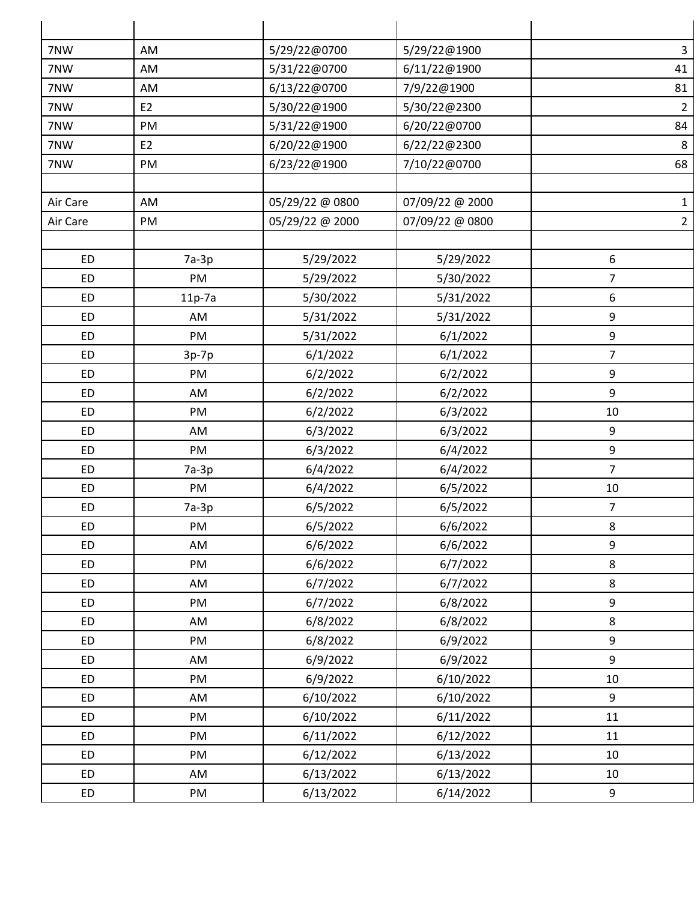| 7NW       | AM             | 5/29/22@0700    | 5/29/22@1900    | $\mathbf{3}$   |
|-----------|----------------|-----------------|-----------------|----------------|
| 7NW       | AM             | 5/31/22@0700    | 6/11/22@1900    | 41             |
| 7NW       | AM             | 6/13/22@0700    | 7/9/22@1900     | 81             |
| 7NW       | E <sub>2</sub> | 5/30/22@1900    | 5/30/22@2300    | $\overline{2}$ |
| 7NW       | PM             | 5/31/22@1900    | 6/20/22@0700    | 84             |
| 7NW       | E <sub>2</sub> | 6/20/22@1900    | 6/22/22@2300    | $\bf 8$        |
| 7NW       | PM             | 6/23/22@1900    | 7/10/22@0700    | 68             |
| Air Care  | AM             | 05/29/22 @ 0800 | 07/09/22 @ 2000 | $\mathbf{1}$   |
| Air Care  | PM             | 05/29/22 @ 2000 | 07/09/22 @ 0800 | $\overline{2}$ |
|           |                |                 |                 |                |
| <b>ED</b> | $7a-3p$        | 5/29/2022       | 5/29/2022       | 6              |
| <b>ED</b> | PM             | 5/29/2022       | 5/30/2022       | $\overline{7}$ |
| <b>ED</b> | $11p-7a$       | 5/30/2022       | 5/31/2022       | 6              |
| <b>ED</b> | AM             | 5/31/2022       | 5/31/2022       | 9              |
| <b>ED</b> | PM             | 5/31/2022       | 6/1/2022        | 9              |
| <b>ED</b> | $3p-7p$        | 6/1/2022        | 6/1/2022        | $\overline{7}$ |
| <b>ED</b> | PM             | 6/2/2022        | 6/2/2022        | 9              |
| <b>ED</b> | AM             | 6/2/2022        | 6/2/2022        | 9              |
| <b>ED</b> | PM             | 6/2/2022        | 6/3/2022        | 10             |
| <b>ED</b> | AM             | 6/3/2022        | 6/3/2022        | 9              |
| <b>ED</b> | PM             | 6/3/2022        | 6/4/2022        | 9              |
| <b>ED</b> | $7a-3p$        | 6/4/2022        | 6/4/2022        | $\overline{7}$ |
| <b>ED</b> | PM             | 6/4/2022        | 6/5/2022        | 10             |
| <b>ED</b> | $7a-3p$        | 6/5/2022        | 6/5/2022        | $\overline{7}$ |
| <b>ED</b> | PM             | 6/5/2022        | 6/6/2022        | 8              |
| <b>ED</b> | AM             | 6/6/2022        | 6/6/2022        | 9              |
| <b>ED</b> | PM             | 6/6/2022        | 6/7/2022        | 8              |
| <b>ED</b> | AM             | 6/7/2022        | 6/7/2022        | 8              |
| <b>ED</b> | PM             | 6/7/2022        | 6/8/2022        | 9              |
| <b>ED</b> | AM             | 6/8/2022        | 6/8/2022        | 8              |
| <b>ED</b> | PM             | 6/8/2022        | 6/9/2022        | 9              |
| <b>ED</b> | AM             | 6/9/2022        | 6/9/2022        | 9              |
| <b>ED</b> | PM             | 6/9/2022        | 6/10/2022       | 10             |
| <b>ED</b> | AM             | 6/10/2022       | 6/10/2022       | 9              |
| <b>ED</b> | PM             | 6/10/2022       | 6/11/2022       | $11\,$         |
| <b>ED</b> | PM             | 6/11/2022       | 6/12/2022       | 11             |
| <b>ED</b> | PM             | 6/12/2022       | 6/13/2022       | 10             |
| ED        | AM             | 6/13/2022       | 6/13/2022       | 10             |
| ED        | PM             | 6/13/2022       | 6/14/2022       | 9              |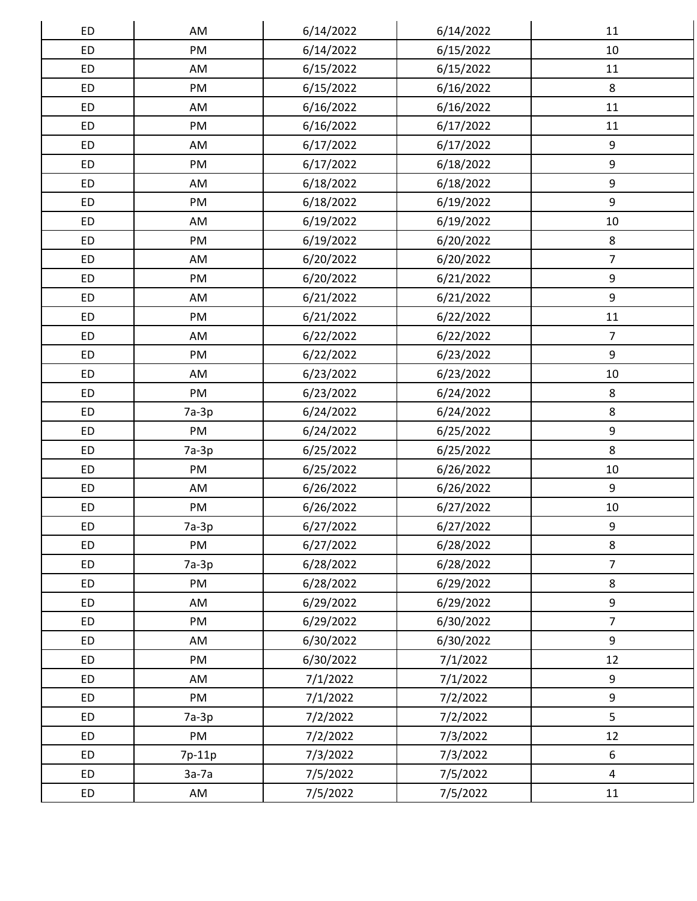| ED        | AM      | 6/14/2022 | 6/14/2022 | 11               |
|-----------|---------|-----------|-----------|------------------|
| <b>ED</b> | PM      | 6/14/2022 | 6/15/2022 | 10               |
| <b>ED</b> | AM      | 6/15/2022 | 6/15/2022 | 11               |
| <b>ED</b> | PM      | 6/15/2022 | 6/16/2022 | 8                |
| <b>ED</b> | AM      | 6/16/2022 | 6/16/2022 | 11               |
| <b>ED</b> | PM      | 6/16/2022 | 6/17/2022 | 11               |
| ED        | AM      | 6/17/2022 | 6/17/2022 | 9                |
| ED        | PM      | 6/17/2022 | 6/18/2022 | $\boldsymbol{9}$ |
| <b>ED</b> | AM      | 6/18/2022 | 6/18/2022 | 9                |
| <b>ED</b> | PM      | 6/18/2022 | 6/19/2022 | 9                |
| ED        | AM      | 6/19/2022 | 6/19/2022 | $10\,$           |
| ED        | PM      | 6/19/2022 | 6/20/2022 | 8                |
| <b>ED</b> | AM      | 6/20/2022 | 6/20/2022 | $\overline{7}$   |
| <b>ED</b> | PM      | 6/20/2022 | 6/21/2022 | 9                |
| ED        | AM      | 6/21/2022 | 6/21/2022 | 9                |
| <b>ED</b> | PM      | 6/21/2022 | 6/22/2022 | $11\,$           |
| ED        | AM      | 6/22/2022 | 6/22/2022 | $\overline{7}$   |
| <b>ED</b> | PM      | 6/22/2022 | 6/23/2022 | 9                |
| ED        | AM      | 6/23/2022 | 6/23/2022 | 10               |
| ED        | PM      | 6/23/2022 | 6/24/2022 | 8                |
| <b>ED</b> | $7a-3p$ | 6/24/2022 | 6/24/2022 | $\bf 8$          |
| ED        | PM      | 6/24/2022 | 6/25/2022 | 9                |
| ED        | $7a-3p$ | 6/25/2022 | 6/25/2022 | 8                |
| ED        | PM      | 6/25/2022 | 6/26/2022 | 10               |
| ED        | AM      | 6/26/2022 | 6/26/2022 | 9                |
| ED        | PM      | 6/26/2022 | 6/27/2022 | $10\,$           |
| <b>ED</b> | $7a-3p$ | 6/27/2022 | 6/27/2022 | $\boldsymbol{9}$ |
| <b>ED</b> | PM      | 6/27/2022 | 6/28/2022 | 8                |
| <b>ED</b> | $7a-3p$ | 6/28/2022 | 6/28/2022 | $\overline{7}$   |
| <b>ED</b> | PM      | 6/28/2022 | 6/29/2022 | 8                |
| <b>ED</b> | AM      | 6/29/2022 | 6/29/2022 | 9                |
| ED        | PM      | 6/29/2022 | 6/30/2022 | $\overline{7}$   |
| <b>ED</b> | AM      | 6/30/2022 | 6/30/2022 | 9                |
| <b>ED</b> | PM      | 6/30/2022 | 7/1/2022  | 12               |
| <b>ED</b> | AM      | 7/1/2022  | 7/1/2022  | 9                |
| ED        | PM      | 7/1/2022  | 7/2/2022  | 9                |
| <b>ED</b> | $7a-3p$ | 7/2/2022  | 7/2/2022  | 5                |
| <b>ED</b> | PM      | 7/2/2022  | 7/3/2022  | 12               |
| <b>ED</b> | 7p-11p  | 7/3/2022  | 7/3/2022  | 6                |
| <b>ED</b> | $3a-7a$ | 7/5/2022  | 7/5/2022  | $\overline{4}$   |
| ED        | AM      | 7/5/2022  | 7/5/2022  | $11\,$           |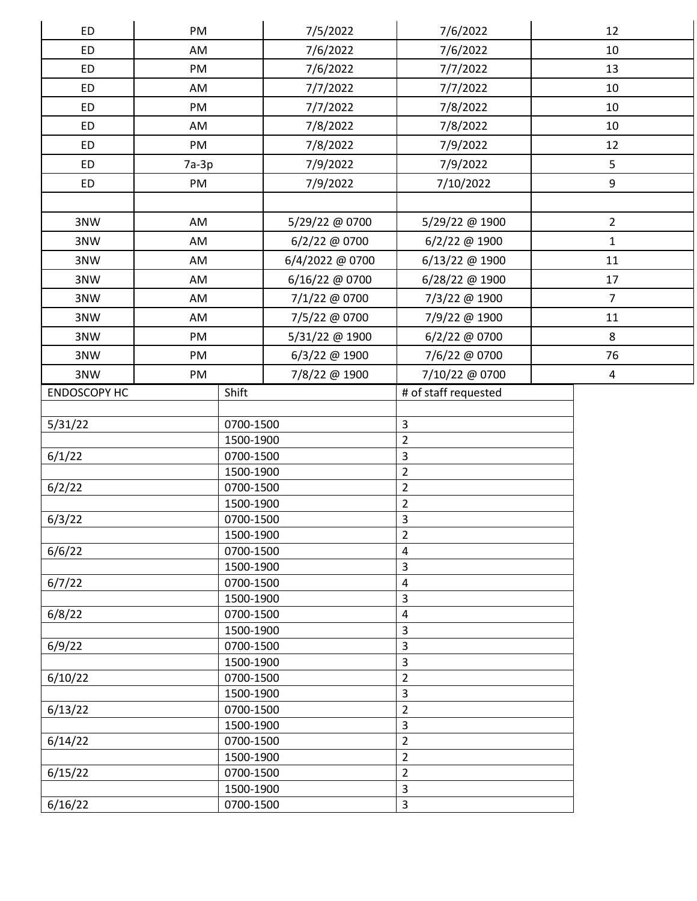| <b>ED</b>           | PM                     |                        | 7/5/2022        | 7/6/2022                         | 12               |  |
|---------------------|------------------------|------------------------|-----------------|----------------------------------|------------------|--|
| <b>ED</b>           | AM                     |                        | 7/6/2022        | 7/6/2022                         | 10               |  |
| <b>ED</b>           | PM                     |                        | 7/6/2022        | 7/7/2022                         | 13               |  |
| <b>ED</b>           | AM                     |                        | 7/7/2022        | 7/7/2022                         | 10               |  |
| <b>ED</b>           | PM                     |                        | 7/7/2022        | 7/8/2022                         | 10               |  |
| <b>ED</b>           | AM                     |                        | 7/8/2022        | 7/8/2022                         | 10               |  |
| <b>ED</b>           | PM                     |                        | 7/8/2022        | 7/9/2022                         | 12               |  |
| <b>ED</b>           | $7a-3p$                |                        | 7/9/2022        | 7/9/2022                         | 5                |  |
| ED                  |                        |                        |                 |                                  | $\boldsymbol{9}$ |  |
|                     | PM                     |                        | 7/9/2022        | 7/10/2022                        |                  |  |
|                     |                        |                        |                 |                                  |                  |  |
| 3NW                 | AM                     |                        | 5/29/22 @ 0700  | 5/29/22 @ 1900                   | $\overline{2}$   |  |
| 3NW                 | AM                     |                        | 6/2/22 @ 0700   | 6/2/22 @ 1900                    | $\mathbf{1}$     |  |
| 3NW                 | AM                     |                        | 6/4/2022 @ 0700 | 6/13/22 @ 1900                   | 11               |  |
| 3NW                 | AM                     |                        | 6/16/22 @ 0700  | 6/28/22 @ 1900                   | 17               |  |
| 3NW                 | AM                     |                        | 7/1/22 @ 0700   | 7/3/22 @ 1900                    | $\overline{7}$   |  |
| 3NW                 | AM                     |                        | 7/5/22 @ 0700   | 7/9/22 @ 1900                    | $11\,$           |  |
| 3NW                 | PM                     |                        | 5/31/22 @ 1900  | 6/2/22 @ 0700                    | 8                |  |
| 3NW                 | PM                     |                        | 6/3/22 @ 1900   | 7/6/22 @ 0700                    | 76               |  |
| 3NW                 | PM                     |                        | 7/8/22 @ 1900   | 7/10/22 @ 0700                   | 4                |  |
| <b>ENDOSCOPY HC</b> |                        | Shift                  |                 | # of staff requested             |                  |  |
|                     |                        |                        |                 |                                  |                  |  |
| 5/31/22             |                        | 0700-1500              |                 | 3                                |                  |  |
|                     |                        | 1500-1900              |                 | $\overline{2}$                   |                  |  |
| 6/1/22              |                        | 0700-1500              |                 | 3                                |                  |  |
|                     |                        | 1500-1900              |                 | $\overline{2}$                   |                  |  |
| 6/2/22              |                        | 0700-1500<br>1500-1900 |                 | $\overline{2}$<br>$\overline{2}$ |                  |  |
| 6/3/22              |                        | 0700-1500              |                 | $\overline{3}$                   |                  |  |
|                     |                        | 1500-1900              |                 | $\overline{2}$                   |                  |  |
| 6/6/22              |                        | 0700-1500              |                 | 4                                |                  |  |
|                     |                        | 1500-1900              |                 | 3                                |                  |  |
| 6/7/22              |                        | 0700-1500              |                 | 4                                |                  |  |
|                     |                        | 1500-1900              |                 | 3                                |                  |  |
| 6/8/22              |                        | 0700-1500              |                 | 4                                |                  |  |
| 6/9/22              |                        | 1500-1900              |                 | 3<br>3                           |                  |  |
|                     | 0700-1500<br>1500-1900 |                        |                 | 3                                |                  |  |
| 6/10/22             | 0700-1500              |                        | $\overline{2}$  |                                  |                  |  |
|                     |                        | 1500-1900              |                 | 3                                |                  |  |
| 6/13/22             |                        | 0700-1500              |                 | $\overline{2}$                   |                  |  |
|                     |                        | 1500-1900              |                 | 3                                |                  |  |
| 6/14/22             |                        | 0700-1500              |                 | $\overline{2}$                   |                  |  |
|                     |                        | 1500-1900              |                 | $\overline{2}$                   |                  |  |
| 6/15/22             |                        | 0700-1500              |                 | $\overline{2}$                   |                  |  |
| 6/16/22             |                        | 1500-1900              |                 | 3<br>3                           |                  |  |
|                     | 0700-1500              |                        |                 |                                  |                  |  |